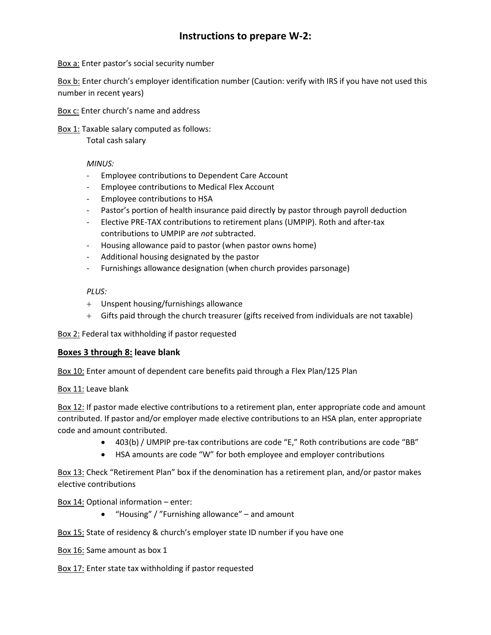# **Instructions to prepare W-2:**

Box a: Enter pastor's social security number

Box b: Enter church's employer identification number (Caution: verify with IRS if you have not used this number in recent years)

Box c: Enter church's name and address

Box 1: Taxable salary computed as follows:

Total cash salary

*MINUS:*

- Employee contributions to Dependent Care Account
- Employee contributions to Medical Flex Account
- Employee contributions to HSA
- Pastor's portion of health insurance paid directly by pastor through payroll deduction
- Elective PRE-TAX contributions to retirement plans (UMPIP). Roth and after-tax contributions to UMPIP are *not* subtracted.
- Housing allowance paid to pastor (when pastor owns home)
- Additional housing designated by the pastor
- Furnishings allowance designation (when church provides parsonage)

*PLUS:*

- + Unspent housing/furnishings allowance
- + Gifts paid through the church treasurer (gifts received from individuals are not taxable)

Box 2: Federal tax withholding if pastor requested

#### **Boxes 3 through 8: leave blank**

Box 10: Enter amount of dependent care benefits paid through a Flex Plan/125 Plan

Box 11: Leave blank

Box 12: If pastor made elective contributions to a retirement plan, enter appropriate code and amount contributed. If pastor and/or employer made elective contributions to an HSA plan, enter appropriate code and amount contributed.

- 403(b) / UMPIP pre-tax contributions are code "E," Roth contributions are code "BB"
- HSA amounts are code "W" for both employee and employer contributions

Box 13: Check "Retirement Plan" box if the denomination has a retirement plan, and/or pastor makes elective contributions

Box 14: Optional information – enter:

• "Housing" / "Furnishing allowance" – and amount

Box 15: State of residency & church's employer state ID number if you have one

Box 16: Same amount as box 1

Box 17: Enter state tax withholding if pastor requested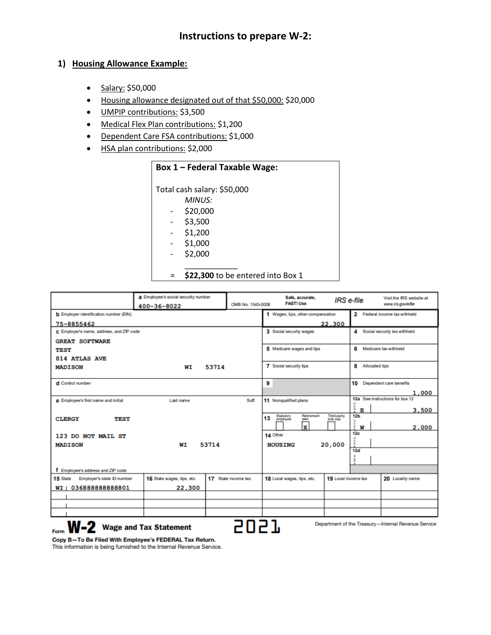### **1) Housing Allowance Example:**

- Salary: \$50,000
- Housing allowance designated out of that \$50,000: \$20,000
- UMPIP contributions: \$3,500
- Medical Flex Plan contributions: \$1,200
- Dependent Care FSA contributions: \$1,000
- HSA plan contributions: \$2,000

## **Box 1 – Federal Taxable Wage:**

\_\_\_\_\_\_\_\_\_\_\_\_

Total cash salary: \$50,000

- *MINUS:*
- \$20,000
- \$3,500
- \$1,200
- $-$  \$1,000
- \$2,000

= **\$22,300** to be entered into Box 1

|                                                                                                     | a Employee's social security number<br>400-36-8022 | OMB No. 1545-0008   | Safe, accurate,<br><b>FAST! Use</b>               | IRS e-file                     |                            | Visit the IRS website at<br>www.irs.gowe.file |  |  |
|-----------------------------------------------------------------------------------------------------|----------------------------------------------------|---------------------|---------------------------------------------------|--------------------------------|----------------------------|-----------------------------------------------|--|--|
| <b>b</b> Employer identification number (EIN)                                                       |                                                    |                     | 1 Wages, tips, other compensation                 |                                | $\mathbf{2}$               | Federal income tax withheld                   |  |  |
| 75-8855462                                                                                          |                                                    |                     |                                                   | 22,300                         |                            |                                               |  |  |
| C Employer's name, address, and ZIP code                                                            |                                                    |                     | 3 Social security wages                           |                                | 4                          | Social security tax withheld                  |  |  |
| <b>GREAT SOFTWARE</b>                                                                               |                                                    |                     |                                                   |                                |                            |                                               |  |  |
| <b>TEST</b>                                                                                         |                                                    |                     | 5 Medicare wages and tips                         |                                | 6<br>Medicare tax withheld |                                               |  |  |
| <b>814 ATLAS AVE</b>                                                                                |                                                    |                     |                                                   |                                |                            |                                               |  |  |
| <b>MADISON</b>                                                                                      | WI                                                 | 53714               | 7 Social security tips                            |                                | 8<br><b>Allocated tips</b> |                                               |  |  |
| d Control number                                                                                    |                                                    |                     | 9                                                 |                                | 10                         | Dependent care benefits                       |  |  |
|                                                                                                     |                                                    |                     |                                                   |                                |                            |                                               |  |  |
|                                                                                                     | Last name                                          | Suff.               |                                                   |                                |                            | 1,000<br>12a See instructions for box 12      |  |  |
| e Employee's first name and initial                                                                 |                                                    |                     | 11 Nonqualified plans                             |                                |                            |                                               |  |  |
|                                                                                                     |                                                    |                     |                                                   |                                | å<br>ы                     | 3,500                                         |  |  |
| <b>CLERGY</b><br>TEST                                                                               |                                                    |                     | Statutory<br>employee<br>Retirement<br>13<br>plan | <b>Third-party</b><br>sick pay | 12 <sub>b</sub>            |                                               |  |  |
|                                                                                                     |                                                    |                     | $\overline{\mathbf{x}}$                           |                                | å<br>W                     | 2,000                                         |  |  |
| 123 DO NOT MAIL ST                                                                                  |                                                    |                     | 14 Other                                          |                                | 12 <sub>c</sub>            |                                               |  |  |
| <b>MADISON</b>                                                                                      | 53714<br>WТ                                        |                     | <b>HOUSING</b>                                    | 20,000                         | å                          |                                               |  |  |
|                                                                                                     |                                                    |                     |                                                   |                                | 12d                        |                                               |  |  |
|                                                                                                     |                                                    |                     |                                                   |                                | c<br>å                     |                                               |  |  |
|                                                                                                     |                                                    |                     |                                                   |                                |                            |                                               |  |  |
| f Employee's address and ZIP code                                                                   |                                                    |                     |                                                   |                                |                            |                                               |  |  |
| 15 State<br>Employer's state ID number                                                              | 16 State wages, tips, etc.                         | 17 State income tax | 18 Local wages, tips, etc.                        | 19 Local income tax            |                            | 20 Locality name                              |  |  |
| WI   036888888888801                                                                                | 22,300                                             |                     |                                                   |                                |                            |                                               |  |  |
|                                                                                                     |                                                    |                     |                                                   |                                |                            |                                               |  |  |
|                                                                                                     |                                                    |                     |                                                   |                                |                            |                                               |  |  |
|                                                                                                     |                                                    |                     |                                                   |                                |                            |                                               |  |  |
| Department of the Treasury-Internal Revenue Service<br><b>Wage and Tax Statement</b><br>W-2<br>Form |                                                    |                     |                                                   |                                |                            |                                               |  |  |

Copy B-To Be Filed With Employee's FEDERAL Tax Return. This information is being furnished to the Internal Revenue Service.